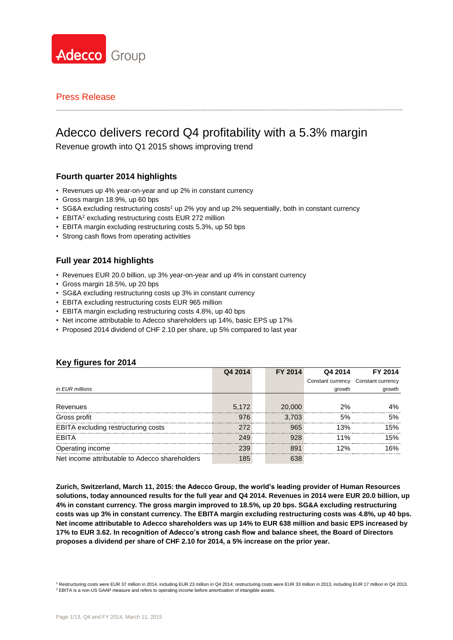

# Adecco delivers record Q4 profitability with a 5.3% margin

Revenue growth into Q1 2015 shows improving trend

### **Fourth quarter 2014 highlights**

- Revenues up 4% year-on-year and up 2% in constant currency
- Gross margin 18.9%, up 60 bps
- SG&A excluding restructuring costs<sup>1</sup> up 2% yoy and up 2% sequentially, both in constant currency
- EBITA<sup>2</sup> excluding restructuring costs EUR 272 million
- EBITA margin excluding restructuring costs 5.3%, up 50 bps
- Strong cash flows from operating activities

## **Full year 2014 highlights**

- Revenues EUR 20.0 billion, up 3% year-on-year and up 4% in constant currency
- Gross margin 18.5%, up 20 bps
- SG&A excluding restructuring costs up 3% in constant currency
- EBITA excluding restructuring costs EUR 965 million
- EBITA margin excluding restructuring costs 4.8%, up 40 bps
- Net income attributable to Adecco shareholders up 14%, basic EPS up 17%
- Proposed 2014 dividend of CHF 2.10 per share, up 5% compared to last year

|                                                | Q4 2014 | FY 2014 | Q4 2014           | FY 2014           |
|------------------------------------------------|---------|---------|-------------------|-------------------|
|                                                |         |         | Constant currency | Constant currency |
| in EUR millions                                |         |         | growth            | growth            |
|                                                |         |         |                   |                   |
| Revenues                                       | 5.172   | 20,000  | 2%                | 1%                |
| Gross profit                                   |         | 3.703   | .5%               | .5%               |
| EBITA excluding restructuring costs            | 272     | 965     | 13%               | 5%                |
| <b>FBITA</b>                                   | 249     |         | 11%               | 5%                |
| Operating income                               | 230     | 891     | 2%                | 6%                |
| Net income attributable to Adecco shareholders |         | 638     |                   |                   |

### **Key figures for 2014**

**Zurich, Switzerland, March 11, 2015: the Adecco Group, the world's leading provider of Human Resources solutions, today announced results for the full year and Q4 2014. Revenues in 2014 were EUR 20.0 billion, up 4% in constant currency. The gross margin improved to 18.5%, up 20 bps. SG&A excluding restructuring costs was up 3% in constant currency. The EBITA margin excluding restructuring costs was 4.8%, up 40 bps. Net income attributable to Adecco shareholders was up 14% to EUR 638 million and basic EPS increased by 17% to EUR 3.62. In recognition of Adecco's strong cash flow and balance sheet, the Board of Directors proposes a dividend per share of CHF 2.10 for 2014, a 5% increase on the prior year.**

<sup>&</sup>lt;sup>1</sup> Restructuring costs were EUR 37 million in 2014, including EUR 23 million in Q4 2014; restructuring costs were EUR 33 million in 2013, including EUR 17 million in Q4 2013. <sup>2</sup> EBITA is a non-US GAAP measure and refers to operating income before amortisation of intangible assets.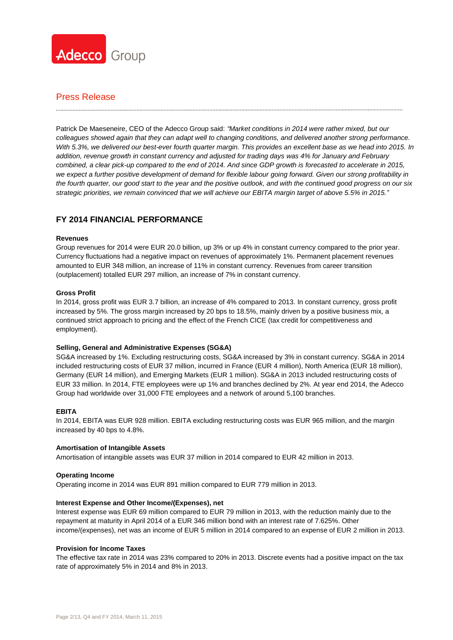

## Press Release

Patrick De Maeseneire, CEO of the Adecco Group said: *"Market conditions in 2014 were rather mixed, but our colleagues showed again that they can adapt well to changing conditions, and delivered another strong performance. With 5.3%, we delivered our best-ever fourth quarter margin. This provides an excellent base as we head into 2015. In addition, revenue growth in constant currency and adjusted for trading days was 4% for January and February combined, a clear pick-up compared to the end of 2014. And since GDP growth is forecasted to accelerate in 2015, we expect a further positive development of demand for flexible labour going forward. Given our strong profitability in the fourth quarter, our good start to the year and the positive outlook, and with the continued good progress on our six strategic priorities, we remain convinced that we will achieve our EBITA margin target of above 5.5% in 2015."*

## **FY 2014 FINANCIAL PERFORMANCE**

### **Revenues**

Group revenues for 2014 were EUR 20.0 billion, up 3% or up 4% in constant currency compared to the prior year. Currency fluctuations had a negative impact on revenues of approximately 1%. Permanent placement revenues amounted to EUR 348 million, an increase of 11% in constant currency. Revenues from career transition (outplacement) totalled EUR 297 million, an increase of 7% in constant currency.

### **Gross Profit**

In 2014, gross profit was EUR 3.7 billion, an increase of 4% compared to 2013. In constant currency, gross profit increased by 5%. The gross margin increased by 20 bps to 18.5%, mainly driven by a positive business mix, a continued strict approach to pricing and the effect of the French CICE (tax credit for competitiveness and employment).

#### **Selling, General and Administrative Expenses (SG&A)**

SG&A increased by 1%. Excluding restructuring costs, SG&A increased by 3% in constant currency. SG&A in 2014 included restructuring costs of EUR 37 million, incurred in France (EUR 4 million), North America (EUR 18 million), Germany (EUR 14 million), and Emerging Markets (EUR 1 million). SG&A in 2013 included restructuring costs of EUR 33 million. In 2014, FTE employees were up 1% and branches declined by 2%. At year end 2014, the Adecco Group had worldwide over 31,000 FTE employees and a network of around 5,100 branches.

#### **EBITA**

In 2014, EBITA was EUR 928 million. EBITA excluding restructuring costs was EUR 965 million, and the margin increased by 40 bps to 4.8%.

#### **Amortisation of Intangible Assets**

Amortisation of intangible assets was EUR 37 million in 2014 compared to EUR 42 million in 2013.

#### **Operating Income**

Operating income in 2014 was EUR 891 million compared to EUR 779 million in 2013.

#### **Interest Expense and Other Income/(Expenses), net**

Interest expense was EUR 69 million compared to EUR 79 million in 2013, with the reduction mainly due to the repayment at maturity in April 2014 of a EUR 346 million bond with an interest rate of 7.625%. Other income/(expenses), net was an income of EUR 5 million in 2014 compared to an expense of EUR 2 million in 2013.

### **Provision for Income Taxes**

The effective tax rate in 2014 was 23% compared to 20% in 2013. Discrete events had a positive impact on the tax rate of approximately 5% in 2014 and 8% in 2013.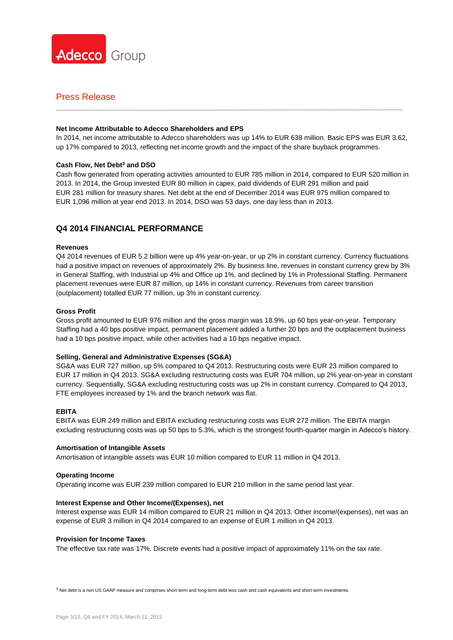

### Press Release

### **Net Income Attributable to Adecco Shareholders and EPS**

In 2014, net income attributable to Adecco shareholders was up 14% to EUR 638 million. Basic EPS was EUR 3.62, up 17% compared to 2013, reflecting net income growth and the impact of the share buyback programmes.

### **Cash Flow, Net Debt<sup>3</sup> and DSO**

Cash flow generated from operating activities amounted to EUR 785 million in 2014, compared to EUR 520 million in 2013. In 2014, the Group invested EUR 80 million in capex, paid dividends of EUR 291 million and paid EUR 281 million for treasury shares. Net debt at the end of December 2014 was EUR 975 million compared to EUR 1,096 million at year end 2013. In 2014, DSO was 53 days, one day less than in 2013.

### **Q4 2014 FINANCIAL PERFORMANCE**

#### **Revenues**

Q4 2014 revenues of EUR 5.2 billion were up 4% year-on-year, or up 2% in constant currency. Currency fluctuations had a positive impact on revenues of approximately 2%. By business line, revenues in constant currency grew by 3% in General Staffing, with Industrial up 4% and Office up 1%, and declined by 1% in Professional Staffing. Permanent placement revenues were EUR 87 million, up 14% in constant currency. Revenues from career transition (outplacement) totalled EUR 77 million, up 3% in constant currency.

### **Gross Profit**

Gross profit amounted to EUR 976 million and the gross margin was 18.9%, up 60 bps year-on-year. Temporary Staffing had a 40 bps positive impact, permanent placement added a further 20 bps and the outplacement business had a 10 bps positive impact, while other activities had a 10 bps negative impact.

#### **Selling, General and Administrative Expenses (SG&A)**

SG&A was EUR 727 million, up 5% compared to Q4 2013. Restructuring costs were EUR 23 million compared to EUR 17 million in Q4 2013. SG&A excluding restructuring costs was EUR 704 million, up 2% year-on-year in constant currency. Sequentially, SG&A excluding restructuring costs was up 2% in constant currency. Compared to Q4 2013, FTE employees increased by 1% and the branch network was flat.

#### **EBITA**

EBITA was EUR 249 million and EBITA excluding restructuring costs was EUR 272 million. The EBITA margin excluding restructuring costs was up 50 bps to 5.3%, which is the strongest fourth-quarter margin in Adecco's history.

#### **Amortisation of Intangible Assets**

Amortisation of intangible assets was EUR 10 million compared to EUR 11 million in Q4 2013.

#### **Operating Income**

Operating income was EUR 239 million compared to EUR 210 million in the same period last year.

#### **Interest Expense and Other Income/(Expenses), net**

Interest expense was EUR 14 million compared to EUR 21 million in Q4 2013. Other income/(expenses), net was an expense of EUR 3 million in Q4 2014 compared to an expense of EUR 1 million in Q4 2013.

#### **Provision for Income Taxes**

The effective tax rate was 17%. Discrete events had a positive impact of approximately 11% on the tax rate.

 $3$  Net debt is a non US GAAP measure and comprises short-term and long-term debt less cash and cash equivalents and short-term investments.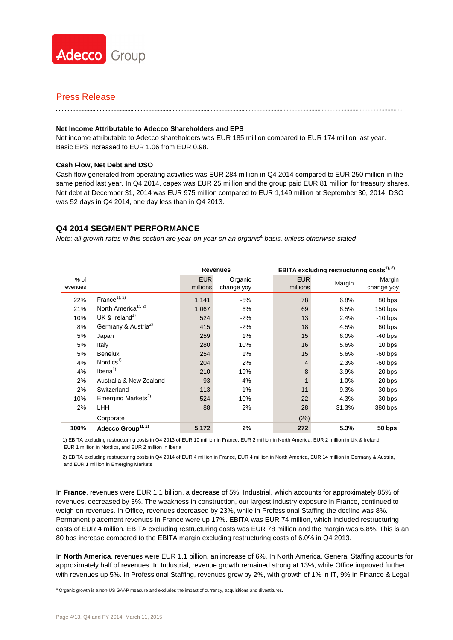

#### **Net Income Attributable to Adecco Shareholders and EPS**

Net income attributable to Adecco shareholders was EUR 185 million compared to EUR 174 million last year. Basic EPS increased to EUR 1.06 from EUR 0.98.

### **Cash Flow, Net Debt and DSO**

Cash flow generated from operating activities was EUR 284 million in Q4 2014 compared to EUR 250 million in the same period last year. In Q4 2014, capex was EUR 25 million and the group paid EUR 81 million for treasury shares. Net debt at December 31, 2014 was EUR 975 million compared to EUR 1,149 million at September 30, 2014. DSO was 52 days in Q4 2014, one day less than in Q4 2013.

### **Q4 2014 SEGMENT PERFORMANCE**

*Note: all growth rates in this section are year-on-year on an organic***<sup>4</sup>** *basis, unless otherwise stated*

|                    |                                 |                        | <b>Revenues</b>       | EBITA excluding restructuring costs <sup>1), 2)</sup> |        |                      |  |  |  |
|--------------------|---------------------------------|------------------------|-----------------------|-------------------------------------------------------|--------|----------------------|--|--|--|
| $%$ of<br>revenues |                                 | <b>EUR</b><br>millions | Organic<br>change yoy | <b>EUR</b><br>millions                                | Margin | Margin<br>change yoy |  |  |  |
| 22%                | $France^{1), 2)}$               | 1,141                  | $-5%$                 | 78                                                    | 6.8%   | 80 bps               |  |  |  |
| 21%                | North America <sup>1), 2)</sup> | 1,067                  | 6%                    | 69                                                    | 6.5%   | $150$ bps            |  |  |  |
| 10%                | UK & Ireland <sup>1)</sup>      | 524                    | $-2%$                 | 13                                                    | 2.4%   | $-10$ bps            |  |  |  |
| 8%                 | Germany & Austria <sup>2)</sup> | 415                    | $-2%$                 | 18                                                    | 4.5%   | 60 bps               |  |  |  |
| 5%                 | Japan                           | 259                    | 1%                    | 15                                                    | 6.0%   | $-40$ bps            |  |  |  |
| 5%                 | Italy                           | 280                    | 10%                   | 16                                                    | 5.6%   | 10 bps               |  |  |  |
| 5%                 | <b>Benelux</b>                  | 254                    | 1%                    | 15                                                    | 5.6%   | $-60$ bps            |  |  |  |
| 4%                 | Nordics $1)$                    | 204                    | 2%                    | $\overline{4}$                                        | 2.3%   | $-60$ bps            |  |  |  |
| 4%                 | Iberia <sup>1</sup>             | 210                    | 19%                   | 8                                                     | 3.9%   | $-20$ bps            |  |  |  |
| 2%                 | Australia & New Zealand         | 93                     | 4%                    |                                                       | 1.0%   | 20 bps               |  |  |  |
| 2%                 | Switzerland                     | 113                    | 1%                    | 11                                                    | 9.3%   | $-30$ bps            |  |  |  |
| 10%                | Emerging Markets <sup>2)</sup>  | 524                    | 10%                   | 22                                                    | 4.3%   | 30 bps               |  |  |  |
| 2%                 | <b>LHH</b>                      | 88                     | 2%                    | 28                                                    | 31.3%  | 380 bps              |  |  |  |
|                    | Corporate                       |                        |                       | (26)                                                  |        |                      |  |  |  |
| 100%               | Adecco Group <sup>1), 2)</sup>  | 5,172                  | 2%                    | 272                                                   | 5.3%   | 50 bps               |  |  |  |

1) EBITA excluding restructuring costs in Q4 2013 of EUR 10 million in France, EUR 2 million in North America, EUR 2 million in UK & Ireland, EUR 1 million in Nordics, and EUR 2 million in Iberia

2) EBITA excluding restructuring costs in Q4 2014 of EUR 4 million in France, EUR 4 million in North America, EUR 14 million in Germany & Austria, and EUR 1 million in Emerging Markets

In **France**, revenues were EUR 1.1 billion, a decrease of 5%. Industrial, which accounts for approximately 85% of revenues, decreased by 3%. The weakness in construction, our largest industry exposure in France, continued to weigh on revenues. In Office, revenues decreased by 23%, while in Professional Staffing the decline was 8%. Permanent placement revenues in France were up 17%. EBITA was EUR 74 million, which included restructuring costs of EUR 4 million. EBITA excluding restructuring costs was EUR 78 million and the margin was 6.8%. This is an 80 bps increase compared to the EBITA margin excluding restructuring costs of 6.0% in Q4 2013.

In **North America**, revenues were EUR 1.1 billion, an increase of 6%. In North America, General Staffing accounts for approximately half of revenues. In Industrial, revenue growth remained strong at 13%, while Office improved further with revenues up 5%. In Professional Staffing, revenues grew by 2%, with growth of 1% in IT, 9% in Finance & Legal

<sup>4</sup> Organic growth is a non-US GAAP measure and excludes the impact of currency, acquisitions and divestitures.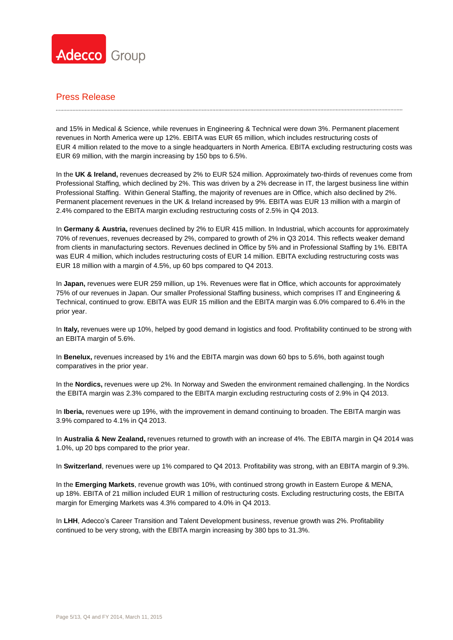

## Press Release

and 15% in Medical & Science, while revenues in Engineering & Technical were down 3%. Permanent placement revenues in North America were up 12%. EBITA was EUR 65 million, which includes restructuring costs of EUR 4 million related to the move to a single headquarters in North America. EBITA excluding restructuring costs was EUR 69 million, with the margin increasing by 150 bps to 6.5%.

In the **UK & Ireland,** revenues decreased by 2% to EUR 524 million. Approximately two-thirds of revenues come from Professional Staffing, which declined by 2%. This was driven by a 2% decrease in IT, the largest business line within Professional Staffing. Within General Staffing, the majority of revenues are in Office, which also declined by 2%. Permanent placement revenues in the UK & Ireland increased by 9%. EBITA was EUR 13 million with a margin of 2.4% compared to the EBITA margin excluding restructuring costs of 2.5% in Q4 2013.

In **Germany & Austria,** revenues declined by 2% to EUR 415 million. In Industrial, which accounts for approximately 70% of revenues, revenues decreased by 2%, compared to growth of 2% in Q3 2014. This reflects weaker demand from clients in manufacturing sectors. Revenues declined in Office by 5% and in Professional Staffing by 1%. EBITA was EUR 4 million, which includes restructuring costs of EUR 14 million. EBITA excluding restructuring costs was EUR 18 million with a margin of 4.5%, up 60 bps compared to Q4 2013.

In **Japan,** revenues were EUR 259 million, up 1%. Revenues were flat in Office, which accounts for approximately 75% of our revenues in Japan. Our smaller Professional Staffing business, which comprises IT and Engineering & Technical, continued to grow. EBITA was EUR 15 million and the EBITA margin was 6.0% compared to 6.4% in the prior year.

In **Italy,** revenues were up 10%, helped by good demand in logistics and food. Profitability continued to be strong with an EBITA margin of 5.6%.

In **Benelux,** revenues increased by 1% and the EBITA margin was down 60 bps to 5.6%, both against tough comparatives in the prior year.

In the **Nordics,** revenues were up 2%. In Norway and Sweden the environment remained challenging. In the Nordics the EBITA margin was 2.3% compared to the EBITA margin excluding restructuring costs of 2.9% in Q4 2013.

In **Iberia,** revenues were up 19%, with the improvement in demand continuing to broaden. The EBITA margin was 3.9% compared to 4.1% in Q4 2013.

In **Australia & New Zealand,** revenues returned to growth with an increase of 4%. The EBITA margin in Q4 2014 was 1.0%, up 20 bps compared to the prior year.

In **Switzerland**, revenues were up 1% compared to Q4 2013. Profitability was strong, with an EBITA margin of 9.3%.

In the **Emerging Markets**, revenue growth was 10%, with continued strong growth in Eastern Europe & MENA, up 18%. EBITA of 21 million included EUR 1 million of restructuring costs. Excluding restructuring costs, the EBITA margin for Emerging Markets was 4.3% compared to 4.0% in Q4 2013.

In **LHH**, Adecco's Career Transition and Talent Development business, revenue growth was 2%. Profitability continued to be very strong, with the EBITA margin increasing by 380 bps to 31.3%.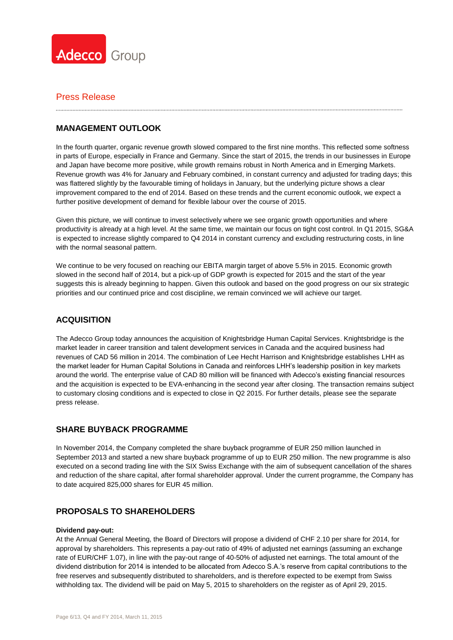

## **MANAGEMENT OUTLOOK**

In the fourth quarter, organic revenue growth slowed compared to the first nine months. This reflected some softness in parts of Europe, especially in France and Germany. Since the start of 2015, the trends in our businesses in Europe and Japan have become more positive, while growth remains robust in North America and in Emerging Markets. Revenue growth was 4% for January and February combined, in constant currency and adjusted for trading days; this was flattered slightly by the favourable timing of holidays in January, but the underlying picture shows a clear improvement compared to the end of 2014. Based on these trends and the current economic outlook, we expect a further positive development of demand for flexible labour over the course of 2015.

Given this picture, we will continue to invest selectively where we see organic growth opportunities and where productivity is already at a high level. At the same time, we maintain our focus on tight cost control. In Q1 2015, SG&A is expected to increase slightly compared to Q4 2014 in constant currency and excluding restructuring costs, in line with the normal seasonal pattern.

We continue to be very focused on reaching our EBITA margin target of above 5.5% in 2015. Economic growth slowed in the second half of 2014, but a pick-up of GDP growth is expected for 2015 and the start of the year suggests this is already beginning to happen. Given this outlook and based on the good progress on our six strategic priorities and our continued price and cost discipline, we remain convinced we will achieve our target.

## **ACQUISITION**

The Adecco Group today announces the acquisition of Knightsbridge Human Capital Services. Knightsbridge is the market leader in career transition and talent development services in Canada and the acquired business had revenues of CAD 56 million in 2014. The combination of Lee Hecht Harrison and Knightsbridge establishes LHH as the market leader for Human Capital Solutions in Canada and reinforces LHH's leadership position in key markets around the world. The enterprise value of CAD 80 million will be financed with Adecco's existing financial resources and the acquisition is expected to be EVA-enhancing in the second year after closing. The transaction remains subject to customary closing conditions and is expected to close in Q2 2015. For further details, please see the separate press release.

### **SHARE BUYBACK PROGRAMME**

In November 2014, the Company completed the share buyback programme of EUR 250 million launched in September 2013 and started a new share buyback programme of up to EUR 250 million. The new programme is also executed on a second trading line with the SIX Swiss Exchange with the aim of subsequent cancellation of the shares and reduction of the share capital, after formal shareholder approval. Under the current programme, the Company has to date acquired 825,000 shares for EUR 45 million.

### **PROPOSALS TO SHAREHOLDERS**

### **Dividend pay-out:**

At the Annual General Meeting, the Board of Directors will propose a dividend of CHF 2.10 per share for 2014, for approval by shareholders. This represents a pay-out ratio of 49% of adjusted net earnings (assuming an exchange rate of EUR/CHF 1.07), in line with the pay-out range of 40-50% of adjusted net earnings. The total amount of the dividend distribution for 2014 is intended to be allocated from Adecco S.A.'s reserve from capital contributions to the free reserves and subsequently distributed to shareholders, and is therefore expected to be exempt from Swiss withholding tax. The dividend will be paid on May 5, 2015 to shareholders on the register as of April 29, 2015.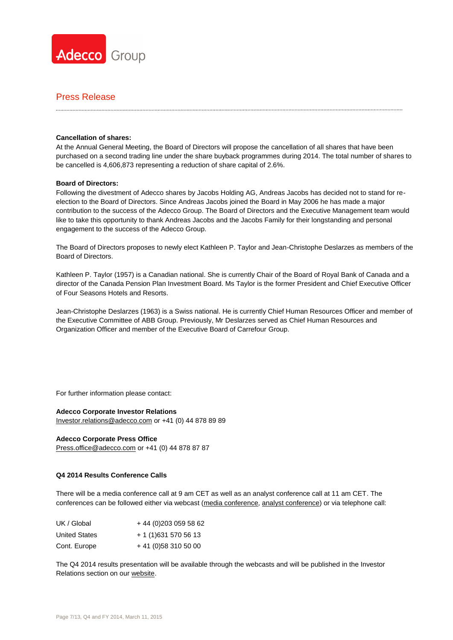

### **Cancellation of shares:**

At the Annual General Meeting, the Board of Directors will propose the cancellation of all shares that have been purchased on a second trading line under the share buyback programmes during 2014. The total number of shares to be cancelled is 4,606,873 representing a reduction of share capital of 2.6%.

### **Board of Directors:**

Following the divestment of Adecco shares by Jacobs Holding AG, Andreas Jacobs has decided not to stand for reelection to the Board of Directors. Since Andreas Jacobs joined the Board in May 2006 he has made a major contribution to the success of the Adecco Group. The Board of Directors and the Executive Management team would like to take this opportunity to thank Andreas Jacobs and the Jacobs Family for their longstanding and personal engagement to the success of the Adecco Group.

The Board of Directors proposes to newly elect Kathleen P. Taylor and Jean-Christophe Deslarzes as members of the Board of Directors.

Kathleen P. Taylor (1957) is a Canadian national. She is currently Chair of the Board of Royal Bank of Canada and a director of the Canada Pension Plan Investment Board. Ms Taylor is the former President and Chief Executive Officer of Four Seasons Hotels and Resorts.

Jean-Christophe Deslarzes (1963) is a Swiss national. He is currently Chief Human Resources Officer and member of the Executive Committee of ABB Group. Previously, Mr Deslarzes served as Chief Human Resources and Organization Officer and member of the Executive Board of Carrefour Group.

For further information please contact:

#### **Adecco Corporate Investor Relations**

[Investor.relations@adecco.com](mailto:Investor.relations@adecco.com) or +41 (0) 44 878 89 89

#### **Adecco Corporate Press Office**

[Press.office@adecco.com](mailto:Press.office@adecco.com) or +41 (0) 44 878 87 87

#### **Q4 2014 Results Conference Calls**

There will be a media conference call at 9 am CET as well as an analyst conference call at 11 am CET. The conferences can be followed either via webcast [\(media conference,](http://view-w.tv/470-471-15373/en) [analyst conference\)](http://view-w.tv/470-471-15374/en) or via telephone call:

| UK / Global          | +44 (0) 203 059 58 62 |
|----------------------|-----------------------|
| <b>United States</b> | + 1 (1) 631 570 56 13 |
| Cont. Europe         | $+41(0)583105000$     |

The Q4 2014 results presentation will be available through the webcasts and will be published in the Investor Relations section on our [website.](http://www.adecco.com/en-US/investors/Pages/Financials.aspx)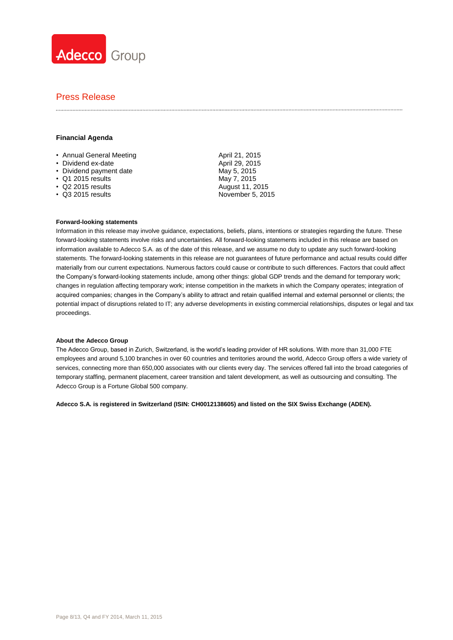

## Press Release

### **Financial Agenda**

- Annual General Meeting **April 21, 2015**
- Dividend ex-date April 29, 2015
- Dividend payment date May 5, 2015
- Q1 2015 results May 7, 2015
- 
- 

• Q2 2015 results August 11, 2015<br>• Q3 2015 results August 11, 2015 November 5, 2015

#### **Forward-looking statements**

Information in this release may involve guidance, expectations, beliefs, plans, intentions or strategies regarding the future. These forward-looking statements involve risks and uncertainties. All forward-looking statements included in this release are based on information available to Adecco S.A. as of the date of this release, and we assume no duty to update any such forward-looking statements. The forward-looking statements in this release are not guarantees of future performance and actual results could differ materially from our current expectations. Numerous factors could cause or contribute to such differences. Factors that could affect the Company's forward-looking statements include, among other things: global GDP trends and the demand for temporary work; changes in regulation affecting temporary work; intense competition in the markets in which the Company operates; integration of acquired companies; changes in the Company's ability to attract and retain qualified internal and external personnel or clients; the potential impact of disruptions related to IT; any adverse developments in existing commercial relationships, disputes or legal and tax proceedings.

#### **About the Adecco Group**

The Adecco Group, based in Zurich, Switzerland, is the world's leading provider of HR solutions. With more than 31,000 FTE employees and around 5,100 branches in over 60 countries and territories around the world, Adecco Group offers a wide variety of services, connecting more than 650,000 associates with our clients every day. The services offered fall into the broad categories of temporary staffing, permanent placement, career transition and talent development, as well as outsourcing and consulting. The Adecco Group is a Fortune Global 500 company.

**Adecco S.A. is registered in Switzerland (ISIN: CH0012138605) and listed on the SIX Swiss Exchange (ADEN).**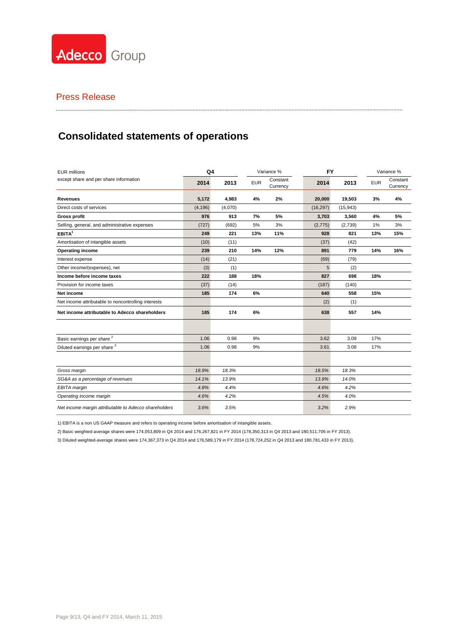

# **Consolidated statements of operations**

| <b>EUR millions</b>                                   | Q4       |         | Variance % |                      |           | <b>FY</b> |            | Variance %           |  |
|-------------------------------------------------------|----------|---------|------------|----------------------|-----------|-----------|------------|----------------------|--|
| except share and per share information                | 2014     | 2013    | <b>EUR</b> | Constant<br>Currency | 2014      | 2013      | <b>EUR</b> | Constant<br>Currency |  |
| <b>Revenues</b>                                       | 5,172    | 4,983   | 4%         | 2%                   | 20,000    | 19,503    | 3%         | 4%                   |  |
| Direct costs of services                              | (4, 196) | (4,070) |            |                      | (16, 297) | (15, 943) |            |                      |  |
| <b>Gross profit</b>                                   | 976      | 913     | 7%         | 5%                   | 3,703     | 3,560     | 4%         | 5%                   |  |
| Selling, general, and administrative expenses         | (727)    | (692)   | 5%         | 3%                   | (2,775)   | (2,739)   | 1%         | 3%                   |  |
| EBITA <sup>1</sup>                                    | 249      | 221     | 13%        | 11%                  | 928       | 821       | 13%        | 15%                  |  |
| Amortisation of intangible assets                     | (10)     | (11)    |            |                      | (37)      | (42)      |            |                      |  |
| <b>Operating income</b>                               | 239      | 210     | 14%        | 12%                  | 891       | 779       | 14%        | 16%                  |  |
| Interest expense                                      | (14)     | (21)    |            |                      | (69)      | (79)      |            |                      |  |
| Other income/(expenses), net                          | (3)      | (1)     |            |                      | 5         | (2)       |            |                      |  |
| Income before income taxes                            | 222      | 188     | 18%        |                      | 827       | 698       | 18%        |                      |  |
| Provision for income taxes                            | (37)     | (14)    |            |                      | (187)     | (140)     |            |                      |  |
| Net income                                            | 185      | 174     | 6%         |                      | 640       | 558       | 15%        |                      |  |
| Net income attributable to noncontrolling interests   |          |         |            |                      | (2)       | (1)       |            |                      |  |
| Net income attributable to Adecco shareholders        | 185      | 174     | 6%         |                      | 638       | 557       | 14%        |                      |  |
|                                                       |          |         |            |                      |           |           |            |                      |  |
| Basic earnings per share <sup>2</sup>                 | 1.06     | 0.98    | 9%         |                      | 3.62      | 3.09      | 17%        |                      |  |
| Diluted earnings per share 3                          | 1.06     | 0.98    | 9%         |                      | 3.61      | 3.08      | 17%        |                      |  |
|                                                       |          |         |            |                      |           |           |            |                      |  |
| Gross margin                                          | 18.9%    | 18.3%   |            |                      | 18.5%     | 18.3%     |            |                      |  |
| SG&A as a percentage of revenues                      | 14.1%    | 13.9%   |            |                      | 13.9%     | 14.0%     |            |                      |  |
| EBITA margin                                          | 4.8%     | 4.4%    |            |                      | 4.6%      | 4.2%      |            |                      |  |
| Operating income margin                               | 4.6%     | 4.2%    |            |                      | 4.5%      | 4.0%      |            |                      |  |
| Net income margin attributable to Adecco shareholders | 3.6%     | 3.5%    |            |                      | 3.2%      | 2.9%      |            |                      |  |

1) EBITA is a non US GAAP measure and refers to operating income before amortisation of intangible assets.

2) Basic weighted-average shares were 174,053,809 in Q4 2014 and 176,267,821 in FY 2014 (178,350,313 in Q4 2013 and 180,511,706 in FY 2013).

3) Diluted weighted-average shares were 174,367,373 in Q4 2014 and 176,589,179 in FY 2014 (178,724,252 in Q4 2013 and 180,781,433 in FY 2013).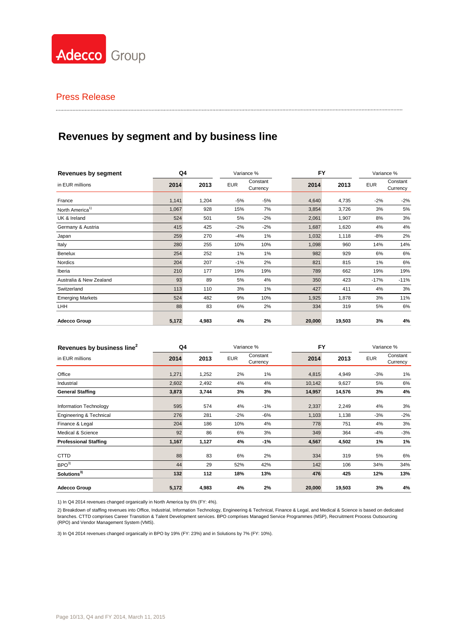

## Press Release

# **Revenues by segment and by business line**

| <b>Revenues by segment</b>  | Q4    |       |            | Variance %           | <b>FY</b> |        |            | Variance %           |
|-----------------------------|-------|-------|------------|----------------------|-----------|--------|------------|----------------------|
| in EUR millions             | 2014  | 2013  | <b>EUR</b> | Constant<br>Currency | 2014      | 2013   | <b>EUR</b> | Constant<br>Currency |
| France                      | 1,141 | 1,204 | $-5%$      | -5%                  | 4,640     | 4,735  | $-2%$      | $-2%$                |
| North America <sup>1)</sup> | 1,067 | 928   | 15%        | 7%                   | 3,854     | 3,726  | 3%         | 5%                   |
| UK & Ireland                | 524   | 501   | 5%         | $-2%$                | 2,061     | 1,907  | 8%         | 3%                   |
| Germany & Austria           | 415   | 425   | $-2%$      | $-2%$                | 1,687     | 1,620  | 4%         | 4%                   |
| Japan                       | 259   | 270   | $-4%$      | 1%                   | 1,032     | 1,118  | -8%        | 2%                   |
| Italy                       | 280   | 255   | 10%        | 10%                  | 1,098     | 960    | 14%        | 14%                  |
| Benelux                     | 254   | 252   | $1\%$      | 1%                   | 982       | 929    | 6%         | 6%                   |
| Nordics                     | 204   | 207   | $-1%$      | 2%                   | 821       | 815    | 1%         | 6%                   |
| Iberia                      | 210   | 177   | 19%        | 19%                  | 789       | 662    | 19%        | 19%                  |
| Australia & New Zealand     | 93    | 89    | 5%         | 4%                   | 350       | 423    | $-17%$     | $-11%$               |
| Switzerland                 | 113   | 110   | 3%         | $1\%$                | 427       | 411    | 4%         | 3%                   |
| <b>Emerging Markets</b>     | 524   | 482   | 9%         | 10%                  | 1,925     | 1,878  | 3%         | 11%                  |
| <b>LHH</b>                  | 88    | 83    | 6%         | 2%                   | 334       | 319    | 5%         | 6%                   |
| <b>Adecco Group</b>         | 5,172 | 4,983 | 4%         | 2%                   | 20,000    | 19,503 | 3%         | 4%                   |

| Revenues by business line <sup>2</sup> | Q4    |       |            | Variance %           |        | <b>FY</b> |            | Variance %           |  |
|----------------------------------------|-------|-------|------------|----------------------|--------|-----------|------------|----------------------|--|
| in EUR millions                        | 2014  | 2013  | <b>EUR</b> | Constant<br>Currency | 2014   | 2013      | <b>EUR</b> | Constant<br>Currency |  |
| Office                                 | 1,271 | 1,252 | 2%         | 1%                   | 4,815  | 4,949     | $-3%$      | 1%                   |  |
| Industrial                             | 2,602 | 2,492 | 4%         | 4%                   | 10,142 | 9,627     | 5%         | 6%                   |  |
| <b>General Staffing</b>                | 3,873 | 3,744 | 3%         | 3%                   | 14,957 | 14,576    | 3%         | 4%                   |  |
| Information Technology                 | 595   | 574   | 4%         | $-1%$                | 2,337  | 2,249     | 4%         | 3%                   |  |
| Engineering & Technical                | 276   | 281   | $-2%$      | -6%                  | 1,103  | 1,138     | $-3%$      | $-2%$                |  |
| Finance & Legal                        | 204   | 186   | 10%        | 4%                   | 778    | 751       | 4%         | 3%                   |  |
| Medical & Science                      | 92    | 86    | 6%         | 3%                   | 349    | 364       | -4%        | $-3%$                |  |
| <b>Professional Staffing</b>           | 1,167 | 1,127 | 4%         | -1%                  | 4,567  | 4,502     | 1%         | 1%                   |  |
| <b>CTTD</b>                            | 88    | 83    | 6%         | 2%                   | 334    | 319       | 5%         | 6%                   |  |
| BPO <sup>3</sup>                       | 44    | 29    | 52%        | 42%                  | 142    | 106       | 34%        | 34%                  |  |
| Solutions <sup>3)</sup>                | 132   | 112   | 18%        | 13%                  | 476    | 425       | 12%        | 13%                  |  |
| <b>Adecco Group</b>                    | 5,172 | 4,983 | 4%         | 2%                   | 20,000 | 19,503    | 3%         | 4%                   |  |

1) In Q4 2014 revenues changed organically in North America by 6% (FY: 4%).

2) Breakdown of staffing revenues into Office, Industrial, Information Technology, Engineering & Technical, Finance & Legal, and Medical & Science is based on dedicated branches. CTTD comprises Career Transition & Talent Development services. BPO comprises Managed Service Programmes (MSP), Recruitment Process Outsourcing (RPO) and Vendor Management System (VMS).

3) In Q4 2014 revenues changed organically in BPO by 19% (FY: 23%) and in Solutions by 7% (FY: 10%).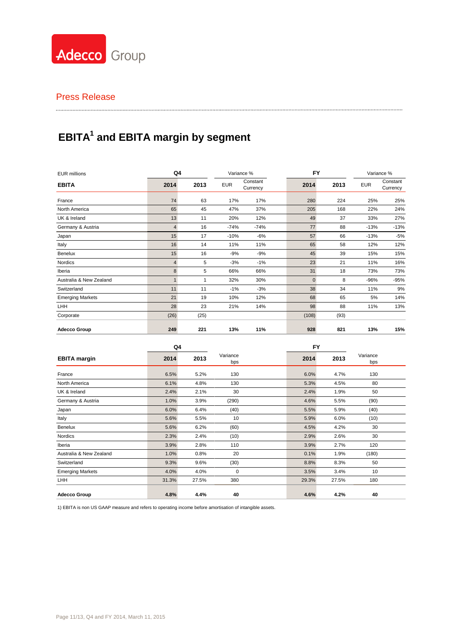

# **EBITA<sup>1</sup> and EBITA margin by segment**

| <b>EUR millions</b>     |      | Q4   |            | Variance %           |              | <b>FY</b> |            | Variance %           |  |
|-------------------------|------|------|------------|----------------------|--------------|-----------|------------|----------------------|--|
| <b>EBITA</b>            | 2014 | 2013 | <b>EUR</b> | Constant<br>Currency | 2014         | 2013      | <b>EUR</b> | Constant<br>Currency |  |
| France                  | 74   | 63   | 17%        | 17%                  | 280          | 224       | 25%        | 25%                  |  |
| North America           | 65   | 45   | 47%        | 37%                  | 205          | 168       | 22%        | 24%                  |  |
| UK & Ireland            | 13   | 11   | 20%        | 12%                  | 49           | 37        | 33%        | 27%                  |  |
| Germany & Austria       | 4    | 16   | $-74%$     | -74%                 | 77           | 88        | $-13%$     | $-13%$               |  |
| Japan                   | 15   | 17   | $-10%$     | $-6%$                | 57           | 66        | $-13%$     | $-5%$                |  |
| Italy                   | 16   | 14   | 11%        | 11%                  | 65           | 58        | 12%        | 12%                  |  |
| Benelux                 | 15   | 16   | $-9%$      | $-9%$                | 45           | 39        | 15%        | 15%                  |  |
| Nordics                 | 4    | 5    | $-3%$      | $-1\%$               | 23           | 21        | 11%        | 16%                  |  |
| Iberia                  | 8    | 5    | 66%        | 66%                  | 31           | 18        | 73%        | 73%                  |  |
| Australia & New Zealand |      |      | 32%        | 30%                  | $\mathbf{0}$ | 8         | $-96%$     | $-95%$               |  |
| Switzerland             | 11   | 11   | $-1%$      | $-3%$                | 38           | 34        | 11%        | 9%                   |  |
| <b>Emerging Markets</b> | 21   | 19   | 10%        | 12%                  | 68           | 65        | 5%         | 14%                  |  |
| <b>LHH</b>              | 28   | 23   | 21%        | 14%                  | 98           | 88        | 11%        | 13%                  |  |
| Corporate               | (26) | (25) |            |                      | (108)        | (93)      |            |                      |  |
| <b>Adecco Group</b>     | 249  | 221  | 13%        | 11%                  | 928          | 821       | 13%        | 15%                  |  |

|                         | Q4    |       |                 | <b>FY</b> |       |                 |  |
|-------------------------|-------|-------|-----------------|-----------|-------|-----------------|--|
| <b>EBITA</b> margin     | 2014  | 2013  | Variance<br>bps | 2014      | 2013  | Variance<br>bps |  |
| France                  | 6.5%  | 5.2%  | 130             | 6.0%      | 4.7%  | 130             |  |
| North America           | 6.1%  | 4.8%  | 130             | 5.3%      | 4.5%  | 80              |  |
| UK & Ireland            | 2.4%  | 2.1%  | 30              | 2.4%      | 1.9%  | 50              |  |
| Germany & Austria       | 1.0%  | 3.9%  | (290)           | 4.6%      | 5.5%  | (90)            |  |
| Japan                   | 6.0%  | 6.4%  | (40)            | 5.5%      | 5.9%  | (40)            |  |
| Italy                   | 5.6%  | 5.5%  | 10              | 5.9%      | 6.0%  | (10)            |  |
| Benelux                 | 5.6%  | 6.2%  | (60)            | 4.5%      | 4.2%  | 30              |  |
| Nordics                 | 2.3%  | 2.4%  | (10)            | 2.9%      | 2.6%  | 30              |  |
| Iberia                  | 3.9%  | 2.8%  | 110             | 3.9%      | 2.7%  | 120             |  |
| Australia & New Zealand | 1.0%  | 0.8%  | 20              | 0.1%      | 1.9%  | (180)           |  |
| Switzerland             | 9.3%  | 9.6%  | (30)            | 8.8%      | 8.3%  | 50              |  |
| <b>Emerging Markets</b> | 4.0%  | 4.0%  | 0               | 3.5%      | 3.4%  | 10              |  |
| LHH                     | 31.3% | 27.5% | 380             | 29.3%     | 27.5% | 180             |  |
| <b>Adecco Group</b>     | 4.8%  | 4.4%  | 40              | 4.6%      | 4.2%  | 40              |  |

1) EBITA is non US GAAP measure and refers to operating income before amortisation of intangible assets.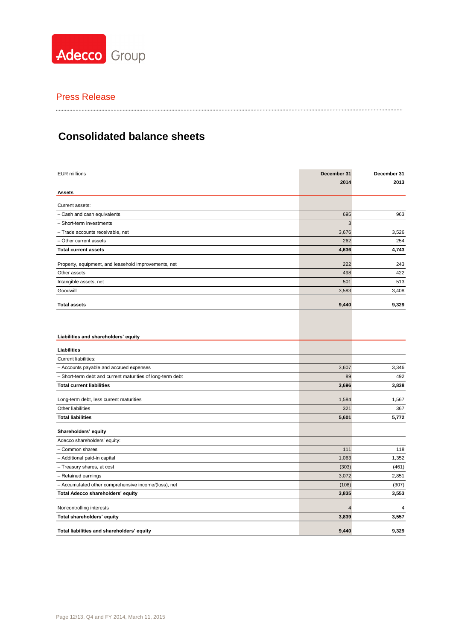

### 

# **Consolidated balance sheets**

| <b>EUR millions</b>                                        | December 31    | December 31 |
|------------------------------------------------------------|----------------|-------------|
|                                                            | 2014           | 2013        |
| <b>Assets</b>                                              |                |             |
| Current assets:                                            |                |             |
| - Cash and cash equivalents                                | 695            | 963         |
| - Short-term investments                                   | 3              |             |
| - Trade accounts receivable, net                           | 3,676          | 3,526       |
| - Other current assets                                     | 262            | 254         |
| <b>Total current assets</b>                                | 4,636          | 4,743       |
| Property, equipment, and leasehold improvements, net       | 222            | 243         |
| Other assets                                               | 498            | 422         |
| Intangible assets, net                                     | 501            | 513         |
| Goodwill                                                   | 3,583          | 3,408       |
|                                                            |                |             |
| <b>Total assets</b>                                        | 9,440          | 9,329       |
|                                                            |                |             |
|                                                            |                |             |
| Liabilities and shareholders' equity                       |                |             |
| Liabilities                                                |                |             |
| Current liabilities:                                       |                |             |
| - Accounts payable and accrued expenses                    | 3,607          | 3,346       |
| - Short-term debt and current maturities of long-term debt | 89             | 492         |
| <b>Total current liabilities</b>                           | 3,696          | 3,838       |
| Long-term debt, less current maturities                    | 1,584          | 1,567       |
| Other liabilities                                          | 321            | 367         |
| <b>Total liabilities</b>                                   | 5,601          | 5,772       |
| Shareholders' equity                                       |                |             |
| Adecco shareholders' equity:                               |                |             |
| - Common shares                                            | 111            | 118         |
| - Additional paid-in capital                               | 1,063          | 1,352       |
| - Treasury shares, at cost                                 | (303)          | (461)       |
| - Retained earnings                                        | 3,072          | 2,851       |
| - Accumulated other comprehensive income/(loss), net       | (108)          | (307)       |
| Total Adecco shareholders' equity                          | 3,835          | 3,553       |
|                                                            |                |             |
| Noncontrolling interests                                   | $\overline{4}$ | 4           |
| Total shareholders' equity                                 | 3,839          | 3,557       |
| Total liabilities and shareholders' equity                 | 9,440          | 9,329       |